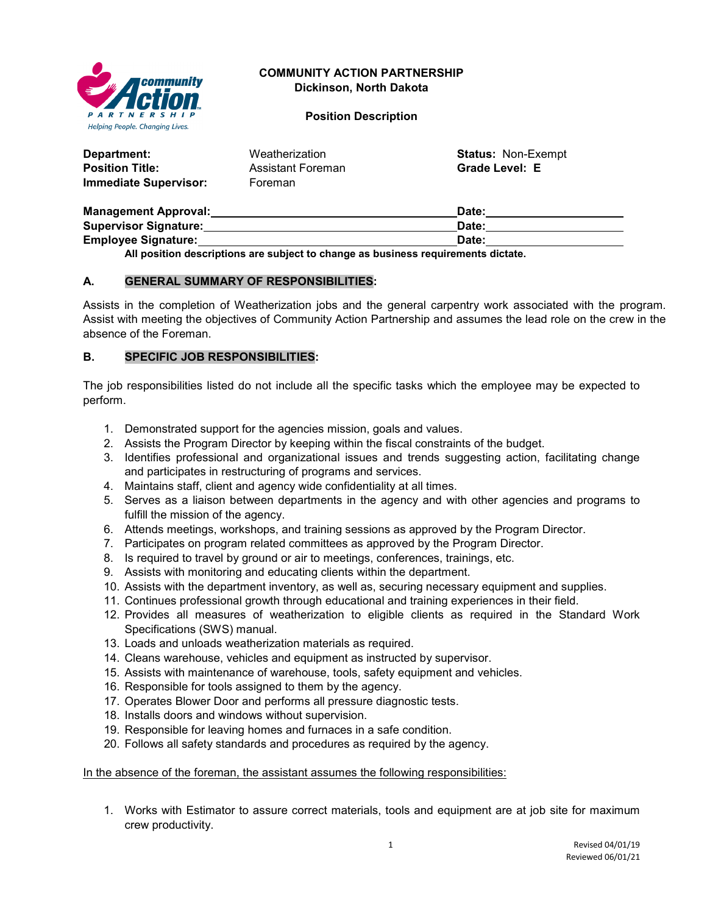

# **COMMUNITY ACTION PARTNERSHIP Dickinson, North Dakota**

**Position Description**

| Department:            | Weatherization    | <b>Status: Non-Exempt</b> |
|------------------------|-------------------|---------------------------|
| <b>Position Title:</b> | Assistant Foreman | Grade Level: E            |
| Immediate Supervisor:  | Foreman           |                           |

| <b>Management Approval:</b>  | Date: |
|------------------------------|-------|
| <b>Supervisor Signature:</b> | Date: |
| <b>Employee Signature:</b>   | Date: |
|                              |       |

**All position descriptions are subject to change as business requirements dictate.**

## **A. GENERAL SUMMARY OF RESPONSIBILITIES:**

Assists in the completion of Weatherization jobs and the general carpentry work associated with the program. Assist with meeting the objectives of Community Action Partnership and assumes the lead role on the crew in the absence of the Foreman.

## **B. SPECIFIC JOB RESPONSIBILITIES:**

The job responsibilities listed do not include all the specific tasks which the employee may be expected to perform.

- 1. Demonstrated support for the agencies mission, goals and values.
- 2. Assists the Program Director by keeping within the fiscal constraints of the budget.
- 3. Identifies professional and organizational issues and trends suggesting action, facilitating change and participates in restructuring of programs and services.
- 4. Maintains staff, client and agency wide confidentiality at all times.
- 5. Serves as a liaison between departments in the agency and with other agencies and programs to fulfill the mission of the agency.
- 6. Attends meetings, workshops, and training sessions as approved by the Program Director.
- 7. Participates on program related committees as approved by the Program Director.
- 8. Is required to travel by ground or air to meetings, conferences, trainings, etc.
- 9. Assists with monitoring and educating clients within the department.
- 10. Assists with the department inventory, as well as, securing necessary equipment and supplies.
- 11. Continues professional growth through educational and training experiences in their field.
- 12. Provides all measures of weatherization to eligible clients as required in the Standard Work Specifications (SWS) manual.
- 13. Loads and unloads weatherization materials as required.
- 14. Cleans warehouse, vehicles and equipment as instructed by supervisor.
- 15. Assists with maintenance of warehouse, tools, safety equipment and vehicles.
- 16. Responsible for tools assigned to them by the agency.
- 17. Operates Blower Door and performs all pressure diagnostic tests.
- 18. Installs doors and windows without supervision.
- 19. Responsible for leaving homes and furnaces in a safe condition.
- 20. Follows all safety standards and procedures as required by the agency.

#### In the absence of the foreman, the assistant assumes the following responsibilities:

1. Works with Estimator to assure correct materials, tools and equipment are at job site for maximum crew productivity.